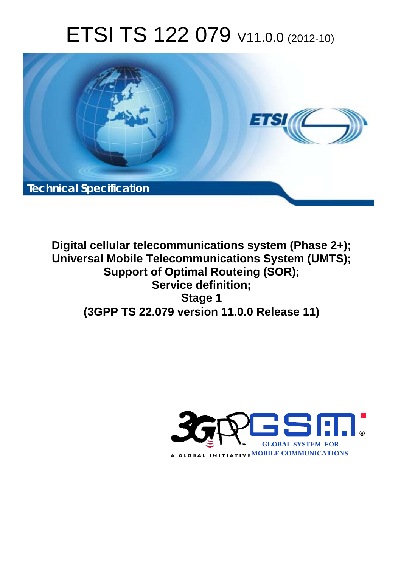# ETSI TS 122 079 V11.0.0 (2012-10)



**Digital cellular telecommunications system (Phase 2+); Universal Mobile Telecommunications System (UMTS); Support of Optimal Routeing (SOR); Service definition; Stage 1 (3GPP TS 22.079 version 11.0.0 Release 11)** 

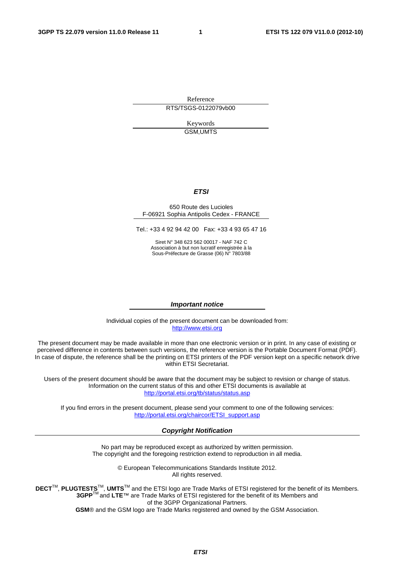Reference RTS/TSGS-0122079vb00

> Keywords GSM,UMTS

#### *ETSI*

#### 650 Route des Lucioles F-06921 Sophia Antipolis Cedex - FRANCE

Tel.: +33 4 92 94 42 00 Fax: +33 4 93 65 47 16

Siret N° 348 623 562 00017 - NAF 742 C Association à but non lucratif enregistrée à la Sous-Préfecture de Grasse (06) N° 7803/88

#### *Important notice*

Individual copies of the present document can be downloaded from: [http://www.etsi.org](http://www.etsi.org/)

The present document may be made available in more than one electronic version or in print. In any case of existing or perceived difference in contents between such versions, the reference version is the Portable Document Format (PDF). In case of dispute, the reference shall be the printing on ETSI printers of the PDF version kept on a specific network drive within ETSI Secretariat.

Users of the present document should be aware that the document may be subject to revision or change of status. Information on the current status of this and other ETSI documents is available at <http://portal.etsi.org/tb/status/status.asp>

If you find errors in the present document, please send your comment to one of the following services: [http://portal.etsi.org/chaircor/ETSI\\_support.asp](http://portal.etsi.org/chaircor/ETSI_support.asp)

#### *Copyright Notification*

No part may be reproduced except as authorized by written permission. The copyright and the foregoing restriction extend to reproduction in all media.

> © European Telecommunications Standards Institute 2012. All rights reserved.

DECT<sup>™</sup>, PLUGTESTS<sup>™</sup>, UMTS<sup>™</sup> and the ETSI logo are Trade Marks of ETSI registered for the benefit of its Members. **3GPP**TM and **LTE**™ are Trade Marks of ETSI registered for the benefit of its Members and of the 3GPP Organizational Partners.

**GSM**® and the GSM logo are Trade Marks registered and owned by the GSM Association.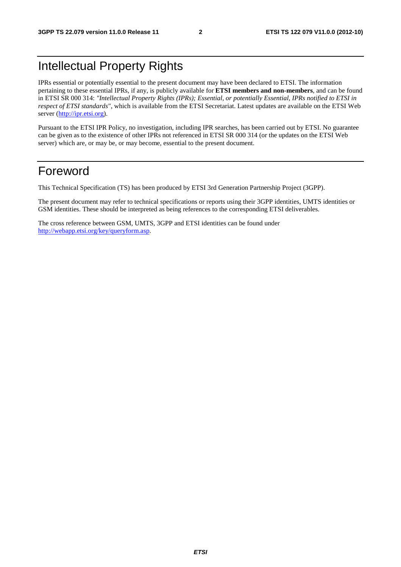# Intellectual Property Rights

IPRs essential or potentially essential to the present document may have been declared to ETSI. The information pertaining to these essential IPRs, if any, is publicly available for **ETSI members and non-members**, and can be found in ETSI SR 000 314: *"Intellectual Property Rights (IPRs); Essential, or potentially Essential, IPRs notified to ETSI in respect of ETSI standards"*, which is available from the ETSI Secretariat. Latest updates are available on the ETSI Web server [\(http://ipr.etsi.org](http://webapp.etsi.org/IPR/home.asp)).

Pursuant to the ETSI IPR Policy, no investigation, including IPR searches, has been carried out by ETSI. No guarantee can be given as to the existence of other IPRs not referenced in ETSI SR 000 314 (or the updates on the ETSI Web server) which are, or may be, or may become, essential to the present document.

### Foreword

This Technical Specification (TS) has been produced by ETSI 3rd Generation Partnership Project (3GPP).

The present document may refer to technical specifications or reports using their 3GPP identities, UMTS identities or GSM identities. These should be interpreted as being references to the corresponding ETSI deliverables.

The cross reference between GSM, UMTS, 3GPP and ETSI identities can be found under <http://webapp.etsi.org/key/queryform.asp>.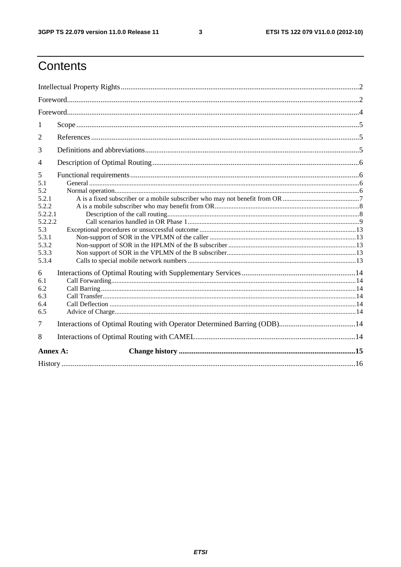$\mathbf{3}$ 

# Contents

| 1        |  |  |  |  |  |  |
|----------|--|--|--|--|--|--|
| 2        |  |  |  |  |  |  |
| 3        |  |  |  |  |  |  |
| 4        |  |  |  |  |  |  |
| 5        |  |  |  |  |  |  |
| 5.1      |  |  |  |  |  |  |
| 5.2      |  |  |  |  |  |  |
| 5.2.1    |  |  |  |  |  |  |
| 5.2.2    |  |  |  |  |  |  |
| 5.2.2.1  |  |  |  |  |  |  |
| 5.2.2.2  |  |  |  |  |  |  |
| 5.3      |  |  |  |  |  |  |
| 5.3.1    |  |  |  |  |  |  |
| 5.3.2    |  |  |  |  |  |  |
| 5.3.3    |  |  |  |  |  |  |
| 5.3.4    |  |  |  |  |  |  |
| 6        |  |  |  |  |  |  |
| 6.1      |  |  |  |  |  |  |
| 6.2      |  |  |  |  |  |  |
| 6.3      |  |  |  |  |  |  |
| 6.4      |  |  |  |  |  |  |
| 6.5      |  |  |  |  |  |  |
| 7        |  |  |  |  |  |  |
| 8        |  |  |  |  |  |  |
| Annex A: |  |  |  |  |  |  |
|          |  |  |  |  |  |  |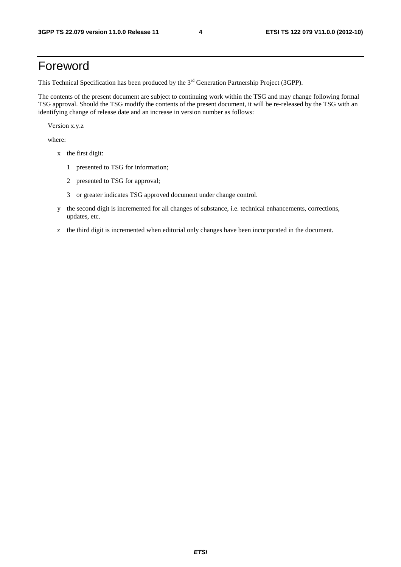### Foreword

This Technical Specification has been produced by the 3<sup>rd</sup> Generation Partnership Project (3GPP).

The contents of the present document are subject to continuing work within the TSG and may change following formal TSG approval. Should the TSG modify the contents of the present document, it will be re-released by the TSG with an identifying change of release date and an increase in version number as follows:

Version x.y.z

where:

- x the first digit:
	- 1 presented to TSG for information;
	- 2 presented to TSG for approval;
	- 3 or greater indicates TSG approved document under change control.
- y the second digit is incremented for all changes of substance, i.e. technical enhancements, corrections, updates, etc.
- z the third digit is incremented when editorial only changes have been incorporated in the document.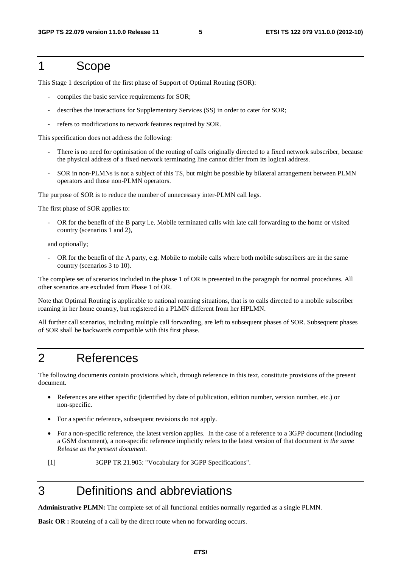### 1 Scope

This Stage 1 description of the first phase of Support of Optimal Routing (SOR):

- compiles the basic service requirements for SOR;
- describes the interactions for Supplementary Services (SS) in order to cater for SOR;
- refers to modifications to network features required by SOR.

This specification does not address the following:

- There is no need for optimisation of the routing of calls originally directed to a fixed network subscriber, because the physical address of a fixed network terminating line cannot differ from its logical address.
- SOR in non-PLMNs is not a subject of this TS, but might be possible by bilateral arrangement between PLMN operators and those non-PLMN operators.

The purpose of SOR is to reduce the number of unnecessary inter-PLMN call legs.

The first phase of SOR applies to:

OR for the benefit of the B party i.e. Mobile terminated calls with late call forwarding to the home or visited country (scenarios 1 and 2),

and optionally;

OR for the benefit of the A party, e.g. Mobile to mobile calls where both mobile subscribers are in the same country (scenarios 3 to 10).

The complete set of scenarios included in the phase 1 of OR is presented in the paragraph for normal procedures. All other scenarios are excluded from Phase 1 of OR.

Note that Optimal Routing is applicable to national roaming situations, that is to calls directed to a mobile subscriber roaming in her home country, but registered in a PLMN different from her HPLMN.

All further call scenarios, including multiple call forwarding, are left to subsequent phases of SOR. Subsequent phases of SOR shall be backwards compatible with this first phase.

### 2 References

The following documents contain provisions which, through reference in this text, constitute provisions of the present document.

- References are either specific (identified by date of publication, edition number, version number, etc.) or non-specific.
- For a specific reference, subsequent revisions do not apply.
- For a non-specific reference, the latest version applies. In the case of a reference to a 3GPP document (including a GSM document), a non-specific reference implicitly refers to the latest version of that document *in the same Release as the present document*.
- [1] 3GPP TR 21.905: "Vocabulary for 3GPP Specifications".

## 3 Definitions and abbreviations

**Administrative PLMN:** The complete set of all functional entities normally regarded as a single PLMN.

**Basic OR :** Routeing of a call by the direct route when no forwarding occurs.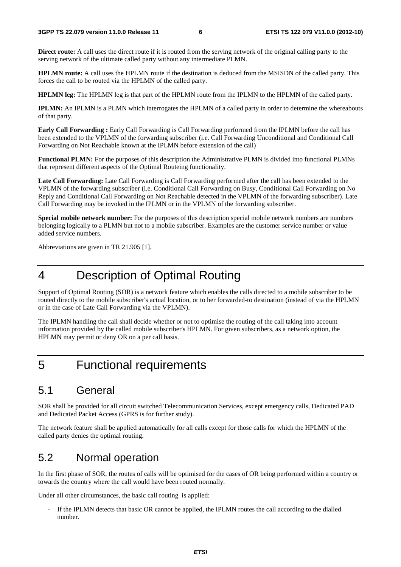**Direct route:** A call uses the direct route if it is routed from the serving network of the original calling party to the serving network of the ultimate called party without any intermediate PLMN.

**HPLMN route:** A call uses the HPLMN route if the destination is deduced from the MSISDN of the called party. This forces the call to be routed via the HPLMN of the called party.

**HPLMN leg:** The HPLMN leg is that part of the HPLMN route from the IPLMN to the HPLMN of the called party.

**IPLMN:** An IPLMN is a PLMN which interrogates the HPLMN of a called party in order to determine the whereabouts of that party.

**Early Call Forwarding :** Early Call Forwarding is Call Forwarding performed from the IPLMN before the call has been extended to the VPLMN of the forwarding subscriber (i.e. Call Forwarding Unconditional and Conditional Call Forwarding on Not Reachable known at the IPLMN before extension of the call)

**Functional PLMN:** For the purposes of this description the Administrative PLMN is divided into functional PLMNs that represent different aspects of the Optimal Routeing functionality.

**Late Call Forwarding:** Late Call Forwarding is Call Forwarding performed after the call has been extended to the VPLMN of the forwarding subscriber (i.e. Conditional Call Forwarding on Busy, Conditional Call Forwarding on No Reply and Conditional Call Forwarding on Not Reachable detected in the VPLMN of the forwarding subscriber). Late Call Forwarding may be invoked in the IPLMN or in the VPLMN of the forwarding subscriber.

**Special mobile network number:** For the purposes of this description special mobile network numbers are numbers belonging logically to a PLMN but not to a mobile subscriber. Examples are the customer service number or value added service numbers.

Abbreviations are given in TR 21.905 [1].

# 4 Description of Optimal Routing

Support of Optimal Routing (SOR) is a network feature which enables the calls directed to a mobile subscriber to be routed directly to the mobile subscriber's actual location, or to her forwarded-to destination (instead of via the HPLMN or in the case of Late Call Forwarding via the VPLMN).

The IPLMN handling the call shall decide whether or not to optimise the routing of the call taking into account information provided by the called mobile subscriber's HPLMN. For given subscribers, as a network option, the HPLMN may permit or deny OR on a per call basis.

# 5 Functional requirements

### 5.1 General

SOR shall be provided for all circuit switched Telecommunication Services, except emergency calls, Dedicated PAD and Dedicated Packet Access (GPRS is for further study).

The network feature shall be applied automatically for all calls except for those calls for which the HPLMN of the called party denies the optimal routing.

### 5.2 Normal operation

In the first phase of SOR, the routes of calls will be optimised for the cases of OR being performed within a country or towards the country where the call would have been routed normally.

Under all other circumstances, the basic call routing is applied:

If the IPLMN detects that basic OR cannot be applied, the IPLMN routes the call according to the dialled number.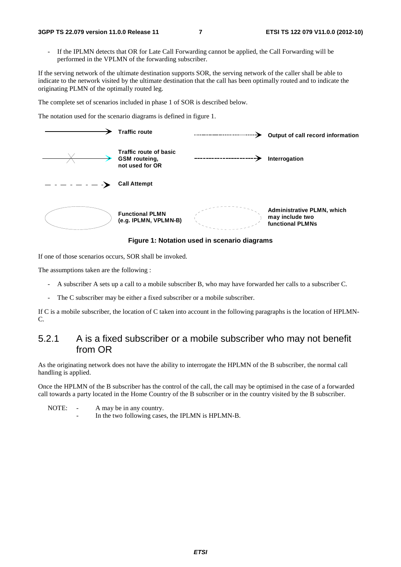If the IPLMN detects that OR for Late Call Forwarding cannot be applied, the Call Forwarding will be performed in the VPLMN of the forwarding subscriber.

If the serving network of the ultimate destination supports SOR, the serving network of the caller shall be able to indicate to the network visited by the ultimate destination that the call has been optimally routed and to indicate the originating PLMN of the optimally routed leg.

The complete set of scenarios included in phase 1 of SOR is described below.

The notation used for the scenario diagrams is defined in figure 1.

| <b>Traffic route</b>                                              | Output of call record information                                               |
|-------------------------------------------------------------------|---------------------------------------------------------------------------------|
| Traffic route of basic<br><b>GSM</b> routeing,<br>not used for OR | Interrogation                                                                   |
| <b>Call Attempt</b>                                               |                                                                                 |
| <b>Functional PLMN</b><br>(e.g. IPLMN, VPLMN-B)                   | <b>Administrative PLMN, which</b><br>may include two<br><b>functional PLMNs</b> |

**Figure 1: Notation used in scenario diagrams** 

If one of those scenarios occurs, SOR shall be invoked.

The assumptions taken are the following :

- A subscriber A sets up a call to a mobile subscriber B, who may have forwarded her calls to a subscriber C.
- The C subscriber may be either a fixed subscriber or a mobile subscriber.

If C is a mobile subscriber, the location of C taken into account in the following paragraphs is the location of HPLMN-C.

### 5.2.1 A is a fixed subscriber or a mobile subscriber who may not benefit from OR

As the originating network does not have the ability to interrogate the HPLMN of the B subscriber, the normal call handling is applied.

Once the HPLMN of the B subscriber has the control of the call, the call may be optimised in the case of a forwarded call towards a party located in the Home Country of the B subscriber or in the country visited by the B subscriber.

NOTE: - A may be in any country.

In the two following cases, the IPLMN is HPLMN-B.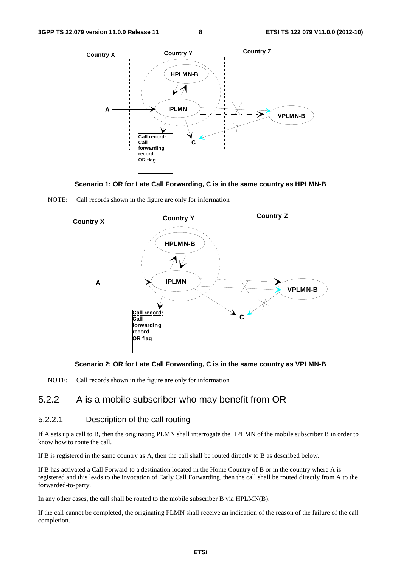









NOTE: Call records shown in the figure are only for information

### 5.2.2 A is a mobile subscriber who may benefit from OR

#### 5.2.2.1 Description of the call routing

If A sets up a call to B, then the originating PLMN shall interrogate the HPLMN of the mobile subscriber B in order to know how to route the call.

If B is registered in the same country as A, then the call shall be routed directly to B as described below.

If B has activated a Call Forward to a destination located in the Home Country of B or in the country where A is registered and this leads to the invocation of Early Call Forwarding, then the call shall be routed directly from A to the forwarded-to-party.

In any other cases, the call shall be routed to the mobile subscriber B via HPLMN(B).

If the call cannot be completed, the originating PLMN shall receive an indication of the reason of the failure of the call completion.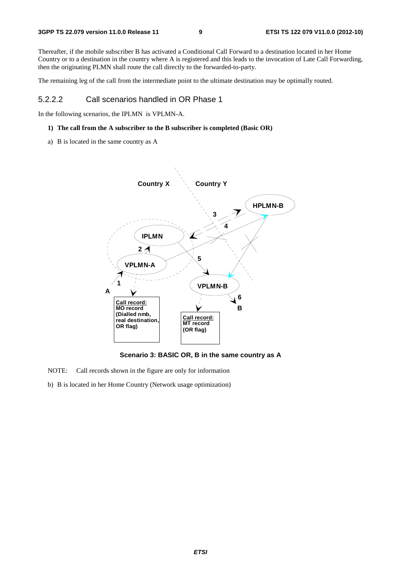Thereafter, if the mobile subscriber B has activated a Conditional Call Forward to a destination located in her Home Country or to a destination in the country where A is registered and this leads to the invocation of Late Call Forwarding, then the originating PLMN shall route the call directly to the forwarded-to-party.

The remaining leg of the call from the intermediate point to the ultimate destination may be optimally routed.

#### 5.2.2.2 Call scenarios handled in OR Phase 1

In the following scenarios, the IPLMN is VPLMN-A.

#### **1) The call from the A subscriber to the B subscriber is completed (Basic OR)**

a) B is located in the same country as A



**Scenario 3: BASIC OR, B in the same country as A** 

NOTE: Call records shown in the figure are only for information

b) B is located in her Home Country (Network usage optimization)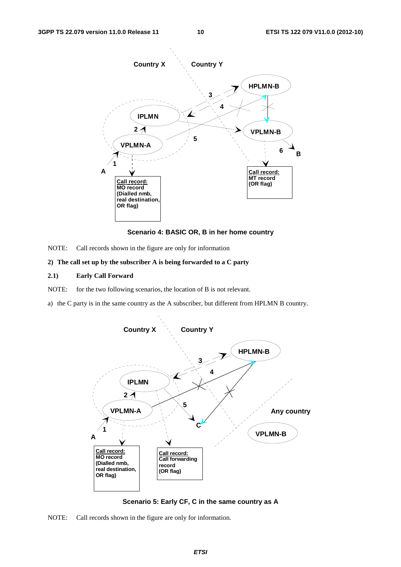

**Scenario 4: BASIC OR, B in her home country** 

NOTE: Call records shown in the figure are only for information

#### **2) The call set up by the subscriber A is being forwarded to a C party**

- **2.1) Early Call Forward**
- NOTE: for the two following scenarios, the location of B is not relevant.
- a) the C party is in the same country as the A subscriber, but different from HPLMN B country.



**Scenario 5: Early CF, C in the same country as A** 

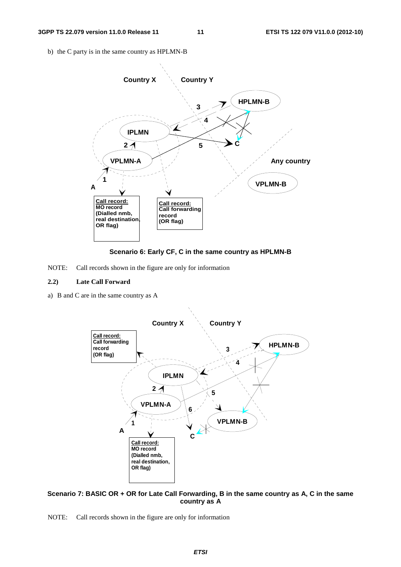b) the C party is in the same country as HPLMN-B





NOTE: Call records shown in the figure are only for information

#### **2.2) Late Call Forward**

a) B and C are in the same country as A



#### **Scenario 7: BASIC OR + OR for Late Call Forwarding, B in the same country as A, C in the same country as A**

NOTE: Call records shown in the figure are only for information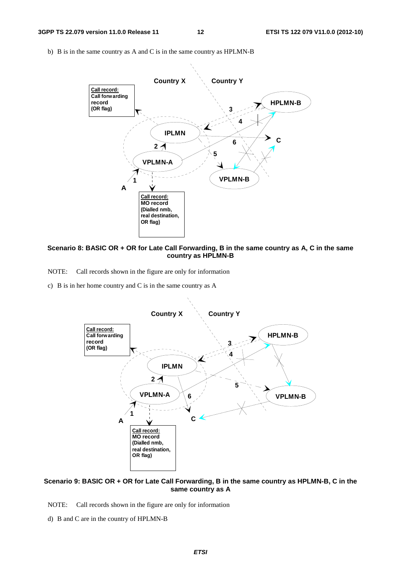b) B is in the same country as A and C is in the same country as HPLMN-B



**Scenario 8: BASIC OR + OR for Late Call Forwarding, B in the same country as A, C in the same country as HPLMN-B** 

NOTE: Call records shown in the figure are only for information

c) B is in her home country and C is in the same country as A



#### **Scenario 9: BASIC OR + OR for Late Call Forwarding, B in the same country as HPLMN-B, C in the same country as A**

- NOTE: Call records shown in the figure are only for information
- d) B and C are in the country of HPLMN-B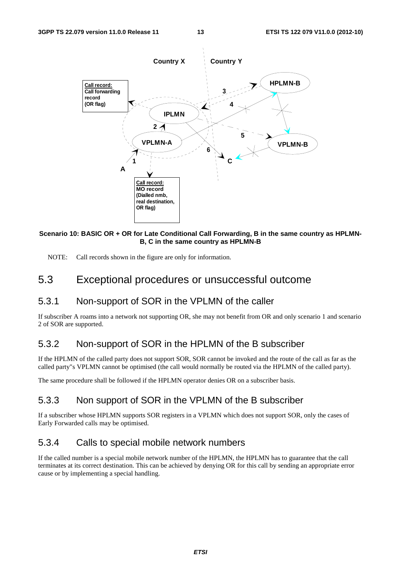

#### **Scenario 10: BASIC OR + OR for Late Conditional Call Forwarding, B in the same country as HPLMN-B, C in the same country as HPLMN-B**

NOTE: Call records shown in the figure are only for information.

### 5.3 Exceptional procedures or unsuccessful outcome

### 5.3.1 Non-support of SOR in the VPLMN of the caller

If subscriber A roams into a network not supporting OR, she may not benefit from OR and only scenario 1 and scenario 2 of SOR are supported.

### 5.3.2 Non-support of SOR in the HPLMN of the B subscriber

If the HPLMN of the called party does not support SOR, SOR cannot be invoked and the route of the call as far as the called party"s VPLMN cannot be optimised (the call would normally be routed via the HPLMN of the called party).

The same procedure shall be followed if the HPLMN operator denies OR on a subscriber basis.

### 5.3.3 Non support of SOR in the VPLMN of the B subscriber

If a subscriber whose HPLMN supports SOR registers in a VPLMN which does not support SOR, only the cases of Early Forwarded calls may be optimised.

### 5.3.4 Calls to special mobile network numbers

If the called number is a special mobile network number of the HPLMN, the HPLMN has to guarantee that the call terminates at its correct destination. This can be achieved by denying OR for this call by sending an appropriate error cause or by implementing a special handling.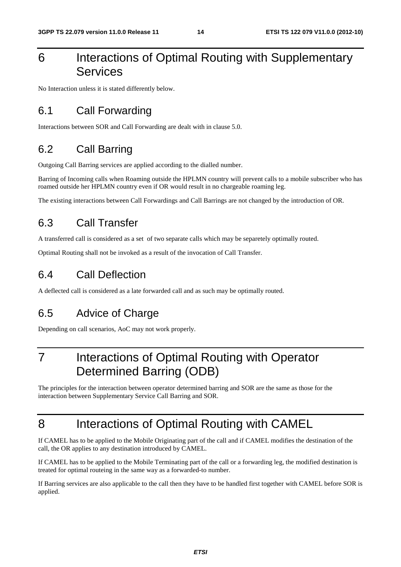# 6 Interactions of Optimal Routing with Supplementary Services

No Interaction unless it is stated differently below.

### 6.1 Call Forwarding

Interactions between SOR and Call Forwarding are dealt with in clause 5.0.

### 6.2 Call Barring

Outgoing Call Barring services are applied according to the dialled number.

Barring of Incoming calls when Roaming outside the HPLMN country will prevent calls to a mobile subscriber who has roamed outside her HPLMN country even if OR would result in no chargeable roaming leg.

The existing interactions between Call Forwardings and Call Barrings are not changed by the introduction of OR.

### 6.3 Call Transfer

A transferred call is considered as a set of two separate calls which may be separetely optimally routed.

Optimal Routing shall not be invoked as a result of the invocation of Call Transfer.

### 6.4 Call Deflection

A deflected call is considered as a late forwarded call and as such may be optimally routed.

## 6.5 Advice of Charge

Depending on call scenarios, AoC may not work properly.

# 7 Interactions of Optimal Routing with Operator Determined Barring (ODB)

The principles for the interaction between operator determined barring and SOR are the same as those for the interaction between Supplementary Service Call Barring and SOR.

# 8 Interactions of Optimal Routing with CAMEL

If CAMEL has to be applied to the Mobile Originating part of the call and if CAMEL modifies the destination of the call, the OR applies to any destination introduced by CAMEL.

If CAMEL has to be applied to the Mobile Terminating part of the call or a forwarding leg, the modified destination is treated for optimal routeing in the same way as a forwarded-to number.

If Barring services are also applicable to the call then they have to be handled first together with CAMEL before SOR is applied.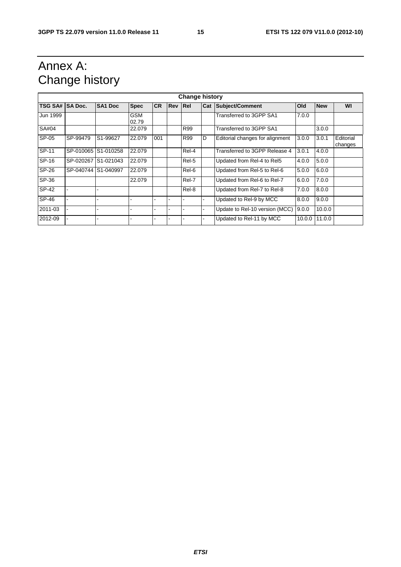# Annex A: Change history

| <b>Change history</b> |                     |                     |                     |           |            |       |     |                                 |        |            |                      |
|-----------------------|---------------------|---------------------|---------------------|-----------|------------|-------|-----|---------------------------------|--------|------------|----------------------|
| TSG SA# SA Doc.       |                     | <b>SA1 Doc</b>      | <b>Spec</b>         | <b>CR</b> | <b>Rev</b> | Rel   | Cat | Subject/Comment                 | Old    | <b>New</b> | WI                   |
| Jun 1999              |                     |                     | <b>GSM</b><br>02.79 |           |            |       |     | Transferred to 3GPP SA1         | 7.0.0  |            |                      |
| SA#04                 |                     |                     | 22.079              |           |            | R99   |     | Transferred to 3GPP SA1         |        | 3.0.0      |                      |
| SP-05                 | SP-99479            | S1-99627            | 22.079              | 001       |            | R99   | D   | Editorial changes for alignment | 3.0.0  | 3.0.1      | Editorial<br>changes |
| SP-11                 |                     | SP-010065 S1-010258 | 22.079              |           |            | Rel-4 |     | Transferred to 3GPP Release 4   | 3.0.1  | 4.0.0      |                      |
| SP-16                 |                     | SP-020267 S1-021043 | 22.079              |           |            | Rel-5 |     | Updated from Rel-4 to Rel5      | 4.0.0  | 5.0.0      |                      |
| SP-26                 | SP-040744 S1-040997 |                     | 22.079              |           |            | Rel-6 |     | Updated from Rel-5 to Rel-6     | 5.0.0  | 6.0.0      |                      |
| SP-36                 |                     |                     | 22.079              |           |            | Rel-7 |     | Updated from Rel-6 to Rel-7     | 6.0.0  | 7.0.0      |                      |
| SP-42                 |                     |                     |                     |           |            | Rel-8 |     | Updated from Rel-7 to Rel-8     | 7.0.0  | 8.0.0      |                      |
| SP-46                 |                     |                     | L.                  |           |            |       |     | Updated to Rel-9 by MCC         | 8.0.0  | 9.0.0      |                      |
| 2011-03               |                     |                     | ۰                   |           |            |       |     | Update to Rel-10 version (MCC)  | 9.0.0  | 10.0.0     |                      |
| 2012-09               |                     |                     |                     |           |            |       |     | Updated to Rel-11 by MCC        | 10.0.0 | 11.0.0     |                      |